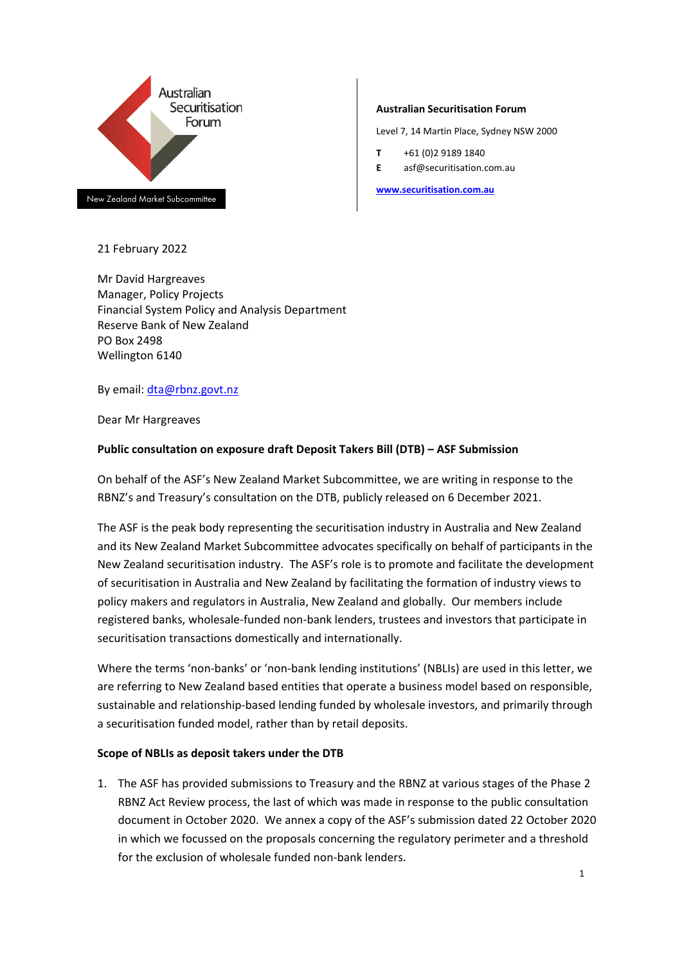

New Zealand Market Subcommittee

#### 21 February 2022

Mr David Hargreaves Manager, Policy Projects Financial System Policy and Analysis Department Reserve Bank of New Zealand PO Box 2498 Wellington 6140

By email: [dta@rbnz.govt.nz](mailto:dta@rbnz.govt.nz)

Dear Mr Hargreaves

## **Public consultation on exposure draft Deposit Takers Bill (DTB) – ASF Submission**

On behalf of the ASF's New Zealand Market Subcommittee, we are writing in response to the RBNZ's and Treasury's consultation on the DTB, publicly released on 6 December 2021.

The ASF is the peak body representing the securitisation industry in Australia and New Zealand and its New Zealand Market Subcommittee advocates specifically on behalf of participants in the New Zealand securitisation industry. The ASF's role is to promote and facilitate the development of securitisation in Australia and New Zealand by facilitating the formation of industry views to policy makers and regulators in Australia, New Zealand and globally. Our members include registered banks, wholesale-funded non-bank lenders, trustees and investors that participate in securitisation transactions domestically and internationally.

Where the terms 'non-banks' or 'non-bank lending institutions' (NBLIs) are used in this letter, we are referring to New Zealand based entities that operate a business model based on responsible, sustainable and relationship-based lending funded by wholesale investors, and primarily through a securitisation funded model, rather than by retail deposits.

#### **Scope of NBLIs as deposit takers under the DTB**

1. The ASF has provided submissions to Treasury and the RBNZ at various stages of the Phase 2 RBNZ Act Review process, the last of which was made in response to the public consultation document in October 2020. We annex a copy of the ASF's submission dated 22 October 2020 in which we focussed on the proposals concerning the regulatory perimeter and a threshold for the exclusion of wholesale funded non-bank lenders.

#### **Australian Securitisation Forum**

Level 7, 14 Martin Place, Sydney NSW 2000

- **T** +61 (0)2 9189 1840
- **E** asf@securitisation.com.au

**[www.securitisation.com.au](http://www.securitisation.com.au/)**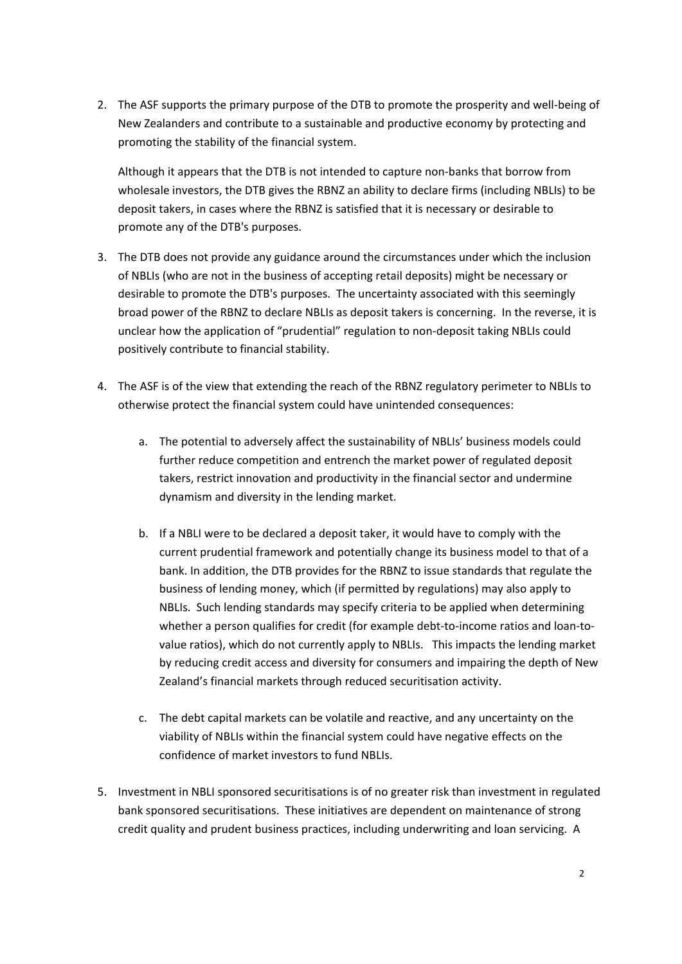2. The ASF supports the primary purpose of the DTB to promote the prosperity and well-being of New Zealanders and contribute to a sustainable and productive economy by protecting and promoting the stability of the financial system.

Although it appears that the DTB is not intended to capture non-banks that borrow from wholesale investors, the DTB gives the RBNZ an ability to declare firms (including NBLIs) to be deposit takers, in cases where the RBNZ is satisfied that it is necessary or desirable to promote any of the DTB's purposes.

- 3. The DTB does not provide any guidance around the circumstances under which the inclusion of NBLIs (who are not in the business of accepting retail deposits) might be necessary or desirable to promote the DTB's purposes. The uncertainty associated with this seemingly broad power of the RBNZ to declare NBLIs as deposit takers is concerning. In the reverse, it is unclear how the application of "prudential" regulation to non-deposit taking NBLIs could positively contribute to financial stability.
- 4. The ASF is of the view that extending the reach of the RBNZ regulatory perimeter to NBLIs to otherwise protect the financial system could have unintended consequences:
	- a. The potential to adversely affect the sustainability of NBLIs' business models could further reduce competition and entrench the market power of regulated deposit takers, restrict innovation and productivity in the financial sector and undermine dynamism and diversity in the lending market.
	- b. If a NBLI were to be declared a deposit taker, it would have to comply with the current prudential framework and potentially change its business model to that of a bank. In addition, the DTB provides for the RBNZ to issue standards that regulate the business of lending money, which (if permitted by regulations) may also apply to NBLIs. Such lending standards may specify criteria to be applied when determining whether a person qualifies for credit (for example debt-to-income ratios and loan-tovalue ratios), which do not currently apply to NBLIs. This impacts the lending market by reducing credit access and diversity for consumers and impairing the depth of New Zealand's financial markets through reduced securitisation activity.
	- c. The debt capital markets can be volatile and reactive, and any uncertainty on the viability of NBLIs within the financial system could have negative effects on the confidence of market investors to fund NBLIs.
- 5. Investment in NBLI sponsored securitisations is of no greater risk than investment in regulated bank sponsored securitisations. These initiatives are dependent on maintenance of strong credit quality and prudent business practices, including underwriting and loan servicing. A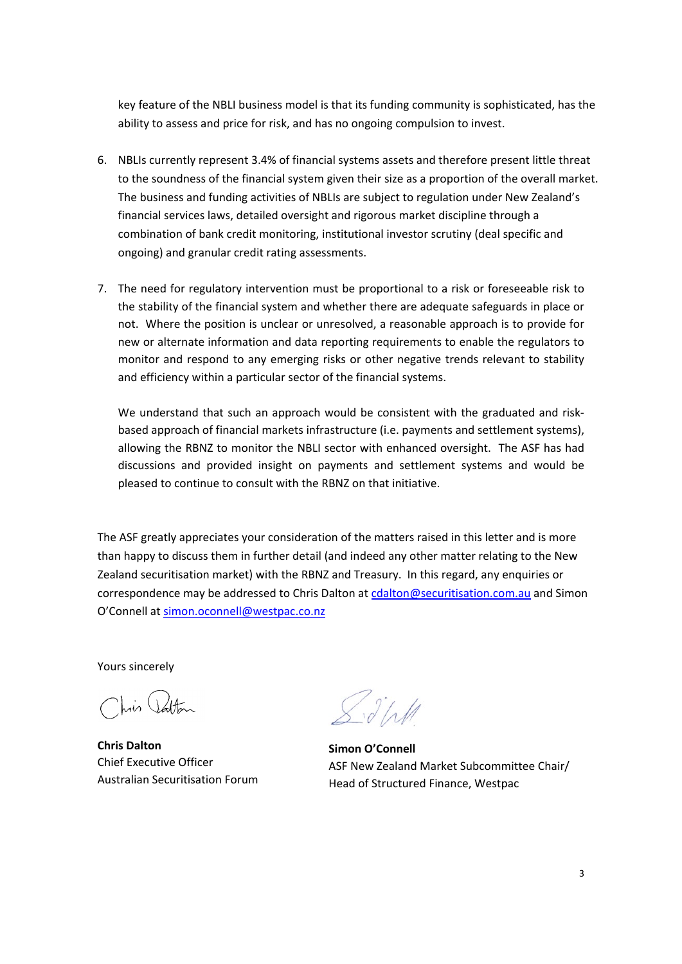key feature of the NBLI business model is that its funding community is sophisticated, has the ability to assess and price for risk, and has no ongoing compulsion to invest.

- 6. NBLIs currently represent 3.4% of financial systems assets and therefore present little threat to the soundness of the financial system given their size as a proportion of the overall market. The business and funding activities of NBLIs are subject to regulation under New Zealand's financial services laws, detailed oversight and rigorous market discipline through a combination of bank credit monitoring, institutional investor scrutiny (deal specific and ongoing) and granular credit rating assessments.
- 7. The need for regulatory intervention must be proportional to a risk or foreseeable risk to the stability of the financial system and whether there are adequate safeguards in place or not. Where the position is unclear or unresolved, a reasonable approach is to provide for new or alternate information and data reporting requirements to enable the regulators to monitor and respond to any emerging risks or other negative trends relevant to stability and efficiency within a particular sector of the financial systems.

We understand that such an approach would be consistent with the graduated and riskbased approach of financial markets infrastructure (i.e. payments and settlement systems), allowing the RBNZ to monitor the NBLI sector with enhanced oversight. The ASF has had discussions and provided insight on payments and settlement systems and would be pleased to continue to consult with the RBNZ on that initiative.

The ASF greatly appreciates your consideration of the matters raised in this letter and is more than happy to discuss them in further detail (and indeed any other matter relating to the New Zealand securitisation market) with the RBNZ and Treasury. In this regard, any enquiries or correspondence may be addressed to Chris Dalton at [cdalton@securitisation.com.au](mailto:cdalton@securitisation.com.au) and Simon O'Connell at [simon.oconnell@westpac.co.nz](mailto:simon.oconnell@westpac.co.nz)

Yours sincerely

his Jatton

**Chris Dalton** Chief Executive Officer Australian Securitisation Forum

 $\int d^{3}l$ 

**Simon O'Connell** ASF New Zealand Market Subcommittee Chair/ Head of Structured Finance, Westpac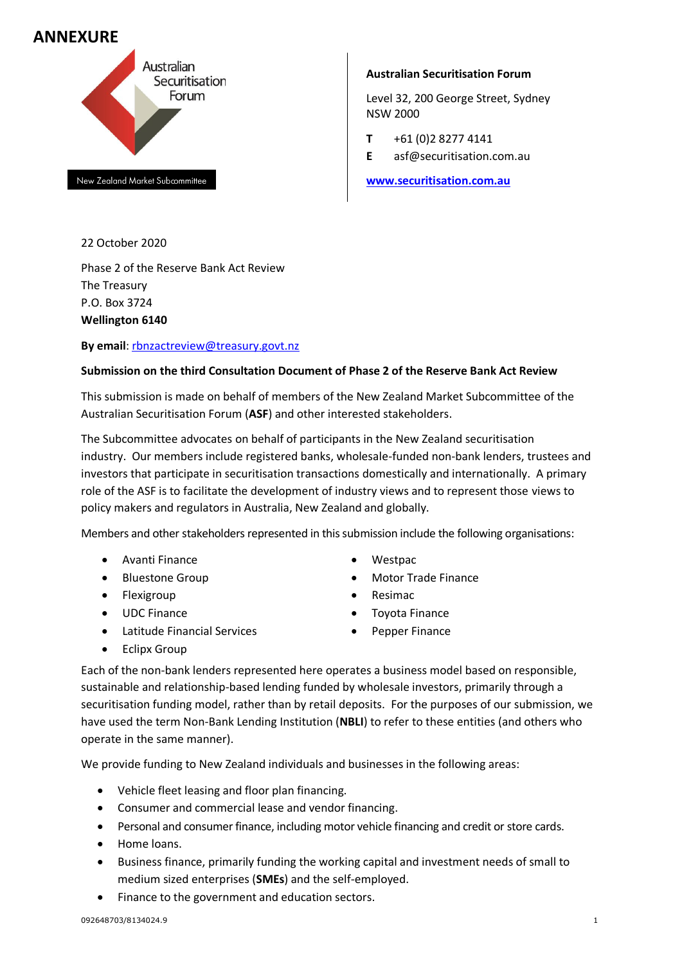# **ANNEXURE**



New Zealand Market Subcommittee

22 October 2020

Phase 2 of the Reserve Bank Act Review The Treasury P.O. Box 3724 **Wellington 6140**

## **By email**: rbnzactreview@treasury.govt.nz

## **Submission on the third Consultation Document of Phase 2 of the Reserve Bank Act Review**

This submission is made on behalf of members of the New Zealand Market Subcommittee of the Australian Securitisation Forum (**ASF**) and other interested stakeholders.

The Subcommittee advocates on behalf of participants in the New Zealand securitisation industry. Our members include registered banks, wholesale-funded non-bank lenders, trustees and investors that participate in securitisation transactions domestically and internationally. A primary role of the ASF is to facilitate the development of industry views and to represent those views to policy makers and regulators in Australia, New Zealand and globally.

Members and other stakeholders represented in this submission include the following organisations:

- Avanti Finance
- Bluestone Group
- Flexigroup
- UDC Finance
- Latitude Financial Services
- Westpac
- Motor Trade Finance
- Resimac
- Toyota Finance
- Pepper Finance

• Eclipx Group

Each of the non-bank lenders represented here operates a business model based on responsible, sustainable and relationship-based lending funded by wholesale investors, primarily through a securitisation funding model, rather than by retail deposits. For the purposes of our submission, we have used the term Non-Bank Lending Institution (**NBLI**) to refer to these entities (and others who operate in the same manner).

We provide funding to New Zealand individuals and businesses in the following areas:

- Vehicle fleet leasing and floor plan financing.
- Consumer and commercial lease and vendor financing.
- Personal and consumer finance, including motor vehicle financing and credit or store cards.
- Home loans.
- Business finance, primarily funding the working capital and investment needs of small to medium sized enterprises (**SMEs**) and the self-employed.
- Finance to the government and education sectors.

#### **Australian Securitisation Forum**

Level 32, 200 George Street, Sydney NSW 2000

- **T** +61 (0)2 8277 4141
- **E** asf@securitisation.com.au

**www.securitisation.com.au**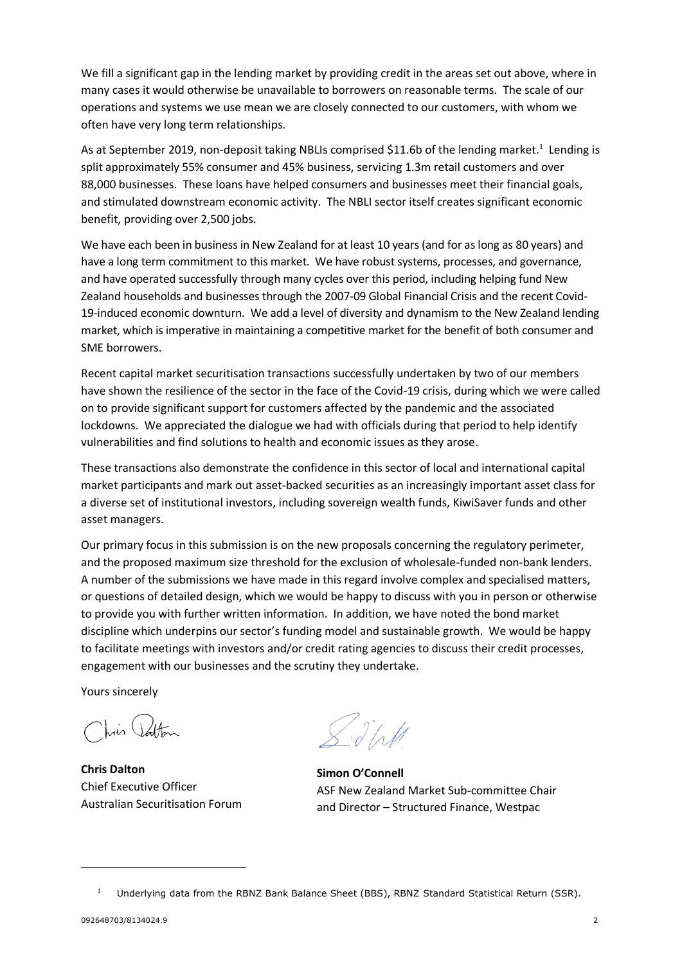We fill a significant gap in the lending market by providing credit in the areas set out above, where in many cases it would otherwise be unavailable to borrowers on reasonable terms. The scale of our operations and systems we use mean we are closely connected to our customers, with whom we often have very long term relationships.

As at September 2019, non-deposit taking NBLIs comprised \$11.6b of the lending market.<sup>1</sup> Lending is split approximately 55% consumer and 45% business, servicing 1.3m retail customers and over 88,000 businesses. These loans have helped consumers and businesses meet their financial goals, and stimulated downstream economic activity. The NBLI sector itself creates significant economic benefit, providing over 2,500 jobs.

We have each been in business in New Zealand for at least 10 years (and for as long as 80 years) and have a long term commitment to this market. We have robust systems, processes, and governance, and have operated successfully through many cycles over this period, including helping fund New Zealand households and businesses through the 2007-09 Global Financial Crisis and the recent Covid-19-induced economic downturn. We add a level of diversity and dynamism to the New Zealand lending market, which is imperative in maintaining a competitive market for the benefit of both consumer and SME borrowers.

Recent capital market securitisation transactions successfully undertaken by two of our members have shown the resilience of the sector in the face of the Covid-19 crisis, during which we were called on to provide significant support for customers affected by the pandemic and the associated lockdowns. We appreciated the dialogue we had with officials during that period to help identify vulnerabilities and find solutions to health and economic issues as they arose.

These transactions also demonstrate the confidence in this sector of local and international capital market participants and mark out asset-backed securities as an increasingly important asset class for a diverse set of institutional investors, including sovereign wealth funds, KiwiSaver funds and other asset managers.

Our primary focus in this submission is on the new proposals concerning the regulatory perimeter, and the proposed maximum size threshold for the exclusion of wholesale-funded non-bank lenders. A number of the submissions we have made in this regard involve complex and specialised matters, or questions of detailed design, which we would be happy to discuss with you in person or otherwise to provide you with further written information. In addition, we have noted the bond market discipline which underpins our sector's funding model and sustainable growth. We would be happy to facilitate meetings with investors and/or credit rating agencies to discuss their credit processes, engagement with our businesses and the scrutiny they undertake.

Yours sincerely

his atton

**Chris Dalton** Chief Executive Officer Australian Securitisation Forum

 $\int d^4x dt$ 

**Simon O'Connell** ASF New Zealand Market Sub-committee Chair and Director – Structured Finance, Westpac

<sup>1</sup> Underlying data from the RBNZ Bank Balance Sheet (BBS), RBNZ Standard Statistical Return (SSR).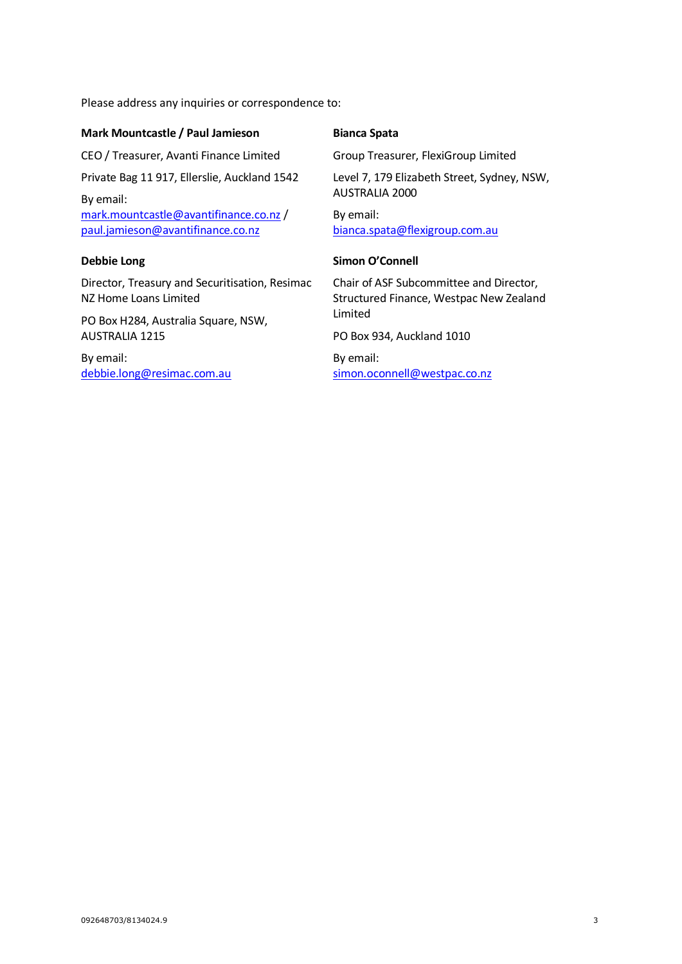Please address any inquiries or correspondence to:

#### **Mark Mountcastle / Paul Jamieson**

CEO / Treasurer, Avanti Finance Limited

Private Bag 11 917, Ellerslie, Auckland 1542

By email: mark.mountcastle@avantifinance.co.nz / paul.jamieson@avantifinance.co.nz

#### **Debbie Long**

Director, Treasury and Securitisation, Resimac NZ Home Loans Limited

PO Box H284, Australia Square, NSW, AUSTRALIA 1215

By email: debbie.long@resimac.com.au

## **Bianca Spata**

Group Treasurer, FlexiGroup Limited

Level 7, 179 Elizabeth Street, Sydney, NSW, AUSTRALIA 2000 By email:

bianca.spata@flexigroup.com.au

#### **Simon O'Connell**

Chair of ASF Subcommittee and Director, Structured Finance, Westpac New Zealand Limited

PO Box 934, Auckland 1010

By email: simon.oconnell@westpac.co.nz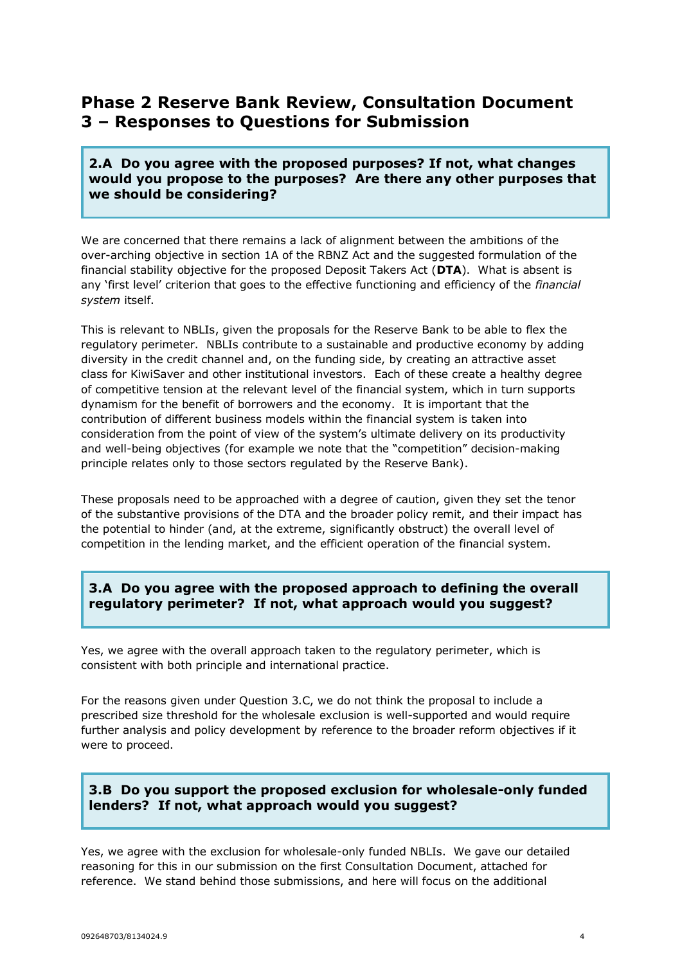# **Phase 2 Reserve Bank Review, Consultation Document 3 – Responses to Questions for Submission**

## **2.A Do you agree with the proposed purposes? If not, what changes would you propose to the purposes? Are there any other purposes that we should be considering?**

We are concerned that there remains a lack of alignment between the ambitions of the over-arching objective in section 1A of the RBNZ Act and the suggested formulation of the financial stability objective for the proposed Deposit Takers Act (**DTA**). What is absent is any 'first level' criterion that goes to the effective functioning and efficiency of the *financial system* itself.

This is relevant to NBLIs, given the proposals for the Reserve Bank to be able to flex the regulatory perimeter. NBLIs contribute to a sustainable and productive economy by adding diversity in the credit channel and, on the funding side, by creating an attractive asset class for KiwiSaver and other institutional investors. Each of these create a healthy degree of competitive tension at the relevant level of the financial system, which in turn supports dynamism for the benefit of borrowers and the economy. It is important that the contribution of different business models within the financial system is taken into consideration from the point of view of the system's ultimate delivery on its productivity and well-being objectives (for example we note that the "competition" decision-making principle relates only to those sectors regulated by the Reserve Bank).

These proposals need to be approached with a degree of caution, given they set the tenor of the substantive provisions of the DTA and the broader policy remit, and their impact has the potential to hinder (and, at the extreme, significantly obstruct) the overall level of competition in the lending market, and the efficient operation of the financial system.

# **3.A Do you agree with the proposed approach to defining the overall regulatory perimeter? If not, what approach would you suggest?**

Yes, we agree with the overall approach taken to the regulatory perimeter, which is consistent with both principle and international practice.

For the reasons given under Question 3.C, we do not think the proposal to include a prescribed size threshold for the wholesale exclusion is well-supported and would require further analysis and policy development by reference to the broader reform objectives if it were to proceed.

# **3.B Do you support the proposed exclusion for wholesale-only funded lenders? If not, what approach would you suggest?**

Yes, we agree with the exclusion for wholesale-only funded NBLIs. We gave our detailed reasoning for this in our submission on the first Consultation Document, attached for reference. We stand behind those submissions, and here will focus on the additional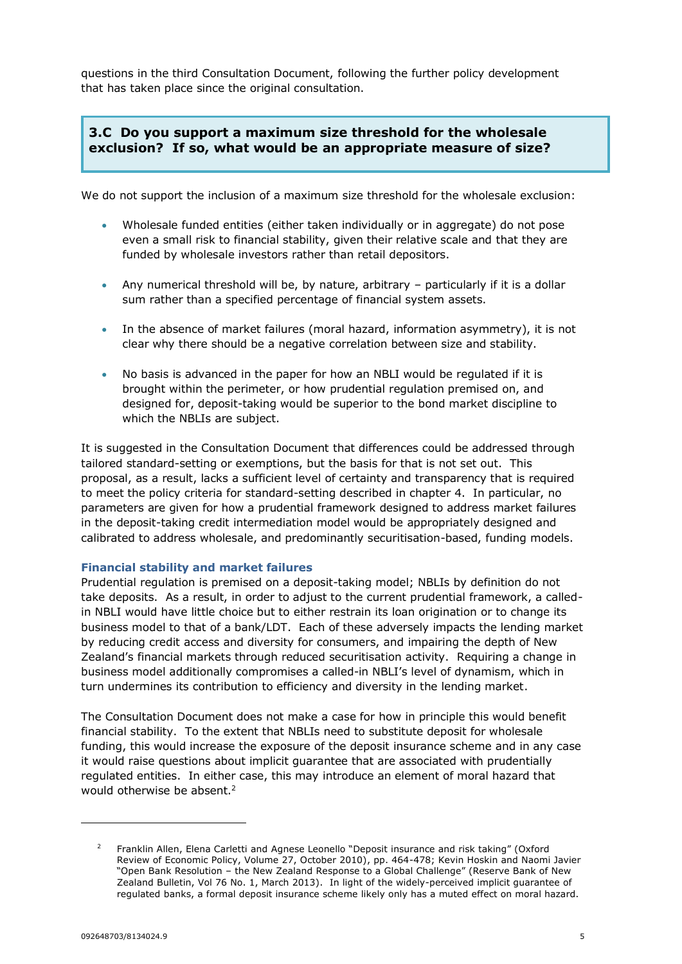questions in the third Consultation Document, following the further policy development that has taken place since the original consultation.

# **3.C Do you support a maximum size threshold for the wholesale exclusion? If so, what would be an appropriate measure of size?**

We do not support the inclusion of a maximum size threshold for the wholesale exclusion:

- Wholesale funded entities (either taken individually or in aggregate) do not pose even a small risk to financial stability, given their relative scale and that they are funded by wholesale investors rather than retail depositors.
- Any numerical threshold will be, by nature, arbitrary particularly if it is a dollar sum rather than a specified percentage of financial system assets.
- In the absence of market failures (moral hazard, information asymmetry), it is not clear why there should be a negative correlation between size and stability.
- No basis is advanced in the paper for how an NBLI would be regulated if it is brought within the perimeter, or how prudential regulation premised on, and designed for, deposit-taking would be superior to the bond market discipline to which the NBLIs are subject.

It is suggested in the Consultation Document that differences could be addressed through tailored standard-setting or exemptions, but the basis for that is not set out. This proposal, as a result, lacks a sufficient level of certainty and transparency that is required to meet the policy criteria for standard-setting described in chapter 4. In particular, no parameters are given for how a prudential framework designed to address market failures in the deposit-taking credit intermediation model would be appropriately designed and calibrated to address wholesale, and predominantly securitisation-based, funding models.

#### **Financial stability and market failures**

Prudential regulation is premised on a deposit-taking model; NBLIs by definition do not take deposits. As a result, in order to adjust to the current prudential framework, a calledin NBLI would have little choice but to either restrain its loan origination or to change its business model to that of a bank/LDT. Each of these adversely impacts the lending market by reducing credit access and diversity for consumers, and impairing the depth of New Zealand's financial markets through reduced securitisation activity. Requiring a change in business model additionally compromises a called-in NBLI's level of dynamism, which in turn undermines its contribution to efficiency and diversity in the lending market.

The Consultation Document does not make a case for how in principle this would benefit financial stability. To the extent that NBLIs need to substitute deposit for wholesale funding, this would increase the exposure of the deposit insurance scheme and in any case it would raise questions about implicit guarantee that are associated with prudentially regulated entities. In either case, this may introduce an element of moral hazard that would otherwise be absent.<sup>2</sup>

<sup>2</sup> Franklin Allen, Elena Carletti and Agnese Leonello "Deposit insurance and risk taking" (Oxford Review of Economic Policy, Volume 27, October 2010), pp. 464-478; Kevin Hoskin and Naomi Javier "Open Bank Resolution – the New Zealand Response to a Global Challenge" (Reserve Bank of New Zealand Bulletin, Vol 76 No. 1, March 2013). In light of the widely-perceived implicit guarantee of regulated banks, a formal deposit insurance scheme likely only has a muted effect on moral hazard.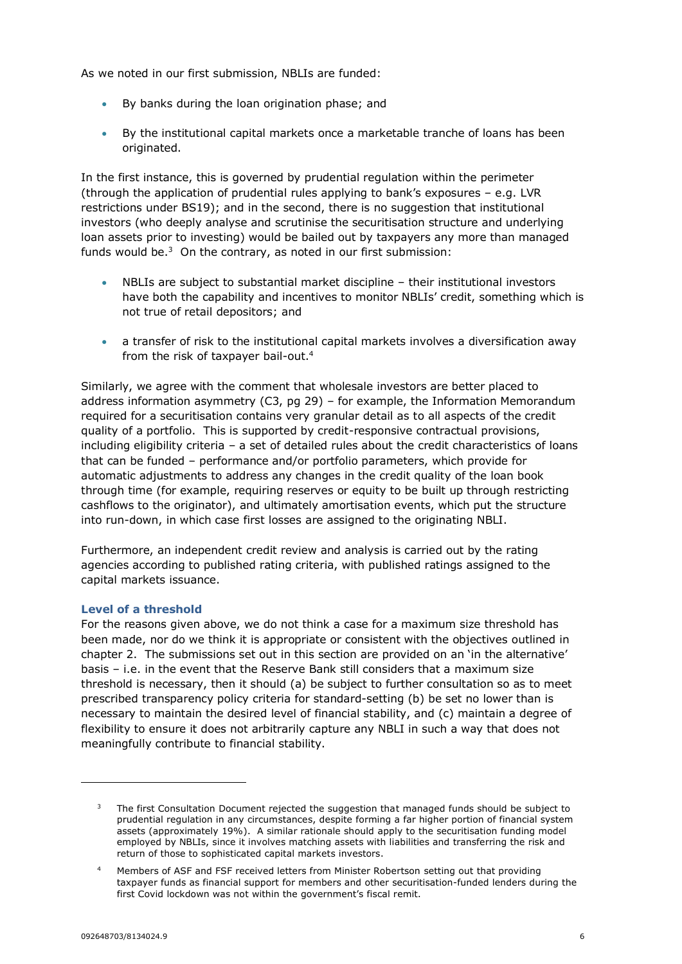As we noted in our first submission, NBLIs are funded:

- By banks during the loan origination phase; and
- By the institutional capital markets once a marketable tranche of loans has been originated.

In the first instance, this is governed by prudential regulation within the perimeter (through the application of prudential rules applying to bank's exposures – e.g. LVR restrictions under BS19); and in the second, there is no suggestion that institutional investors (who deeply analyse and scrutinise the securitisation structure and underlying loan assets prior to investing) would be bailed out by taxpayers any more than managed funds would be. $3$  On the contrary, as noted in our first submission:

- NBLIs are subject to substantial market discipline their institutional investors have both the capability and incentives to monitor NBLIs' credit, something which is not true of retail depositors; and
- a transfer of risk to the institutional capital markets involves a diversification away from the risk of taxpayer bail-out. 4

Similarly, we agree with the comment that wholesale investors are better placed to address information asymmetry (C3, pg 29) – for example, the Information Memorandum required for a securitisation contains very granular detail as to all aspects of the credit quality of a portfolio. This is supported by credit-responsive contractual provisions, including eligibility criteria – a set of detailed rules about the credit characteristics of loans that can be funded – performance and/or portfolio parameters, which provide for automatic adjustments to address any changes in the credit quality of the loan book through time (for example, requiring reserves or equity to be built up through restricting cashflows to the originator), and ultimately amortisation events, which put the structure into run-down, in which case first losses are assigned to the originating NBLI.

Furthermore, an independent credit review and analysis is carried out by the rating agencies according to published rating criteria, with published ratings assigned to the capital markets issuance.

#### **Level of a threshold**

For the reasons given above, we do not think a case for a maximum size threshold has been made, nor do we think it is appropriate or consistent with the objectives outlined in chapter 2. The submissions set out in this section are provided on an 'in the alternative' basis – i.e. in the event that the Reserve Bank still considers that a maximum size threshold is necessary, then it should (a) be subject to further consultation so as to meet prescribed transparency policy criteria for standard-setting (b) be set no lower than is necessary to maintain the desired level of financial stability, and (c) maintain a degree of flexibility to ensure it does not arbitrarily capture any NBLI in such a way that does not meaningfully contribute to financial stability.

<sup>3</sup> The first Consultation Document rejected the suggestion that managed funds should be subject to prudential regulation in any circumstances, despite forming a far higher portion of financial system assets (approximately 19%). A similar rationale should apply to the securitisation funding model employed by NBLIs, since it involves matching assets with liabilities and transferring the risk and return of those to sophisticated capital markets investors.

<sup>4</sup> Members of ASF and FSF received letters from Minister Robertson setting out that providing taxpayer funds as financial support for members and other securitisation-funded lenders during the first Covid lockdown was not within the government's fiscal remit.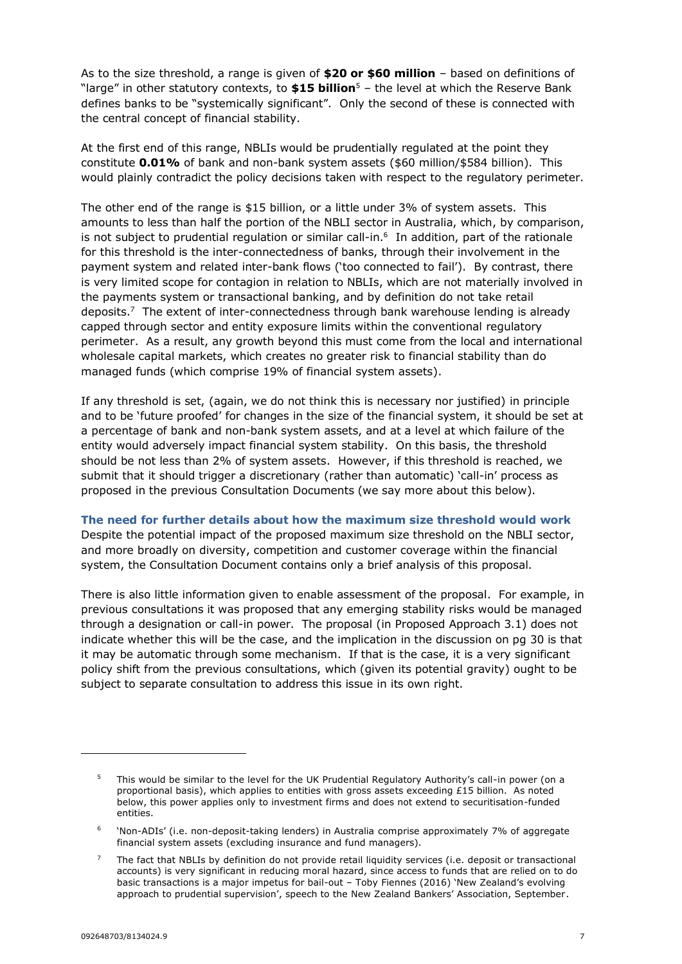As to the size threshold, a range is given of **\$20 or \$60 million** – based on definitions of "large" in other statutory contexts, to **\$15 billion**<sup>5</sup> – the level at which the Reserve Bank defines banks to be "systemically significant". Only the second of these is connected with the central concept of financial stability.

At the first end of this range, NBLIs would be prudentially regulated at the point they constitute **0.01%** of bank and non-bank system assets (\$60 million/\$584 billion). This would plainly contradict the policy decisions taken with respect to the regulatory perimeter.

The other end of the range is \$15 billion, or a little under 3% of system assets. This amounts to less than half the portion of the NBLI sector in Australia, which, by comparison, is not subject to prudential regulation or similar call-in. 6 In addition, part of the rationale for this threshold is the inter-connectedness of banks, through their involvement in the payment system and related inter-bank flows ('too connected to fail'). By contrast, there is very limited scope for contagion in relation to NBLIs, which are not materially involved in the payments system or transactional banking, and by definition do not take retail deposits. $7$  The extent of inter-connectedness through bank warehouse lending is already capped through sector and entity exposure limits within the conventional regulatory perimeter. As a result, any growth beyond this must come from the local and international wholesale capital markets, which creates no greater risk to financial stability than do managed funds (which comprise 19% of financial system assets).

If any threshold is set, (again, we do not think this is necessary nor justified) in principle and to be 'future proofed' for changes in the size of the financial system, it should be set at a percentage of bank and non-bank system assets, and at a level at which failure of the entity would adversely impact financial system stability. On this basis, the threshold should be not less than 2% of system assets. However, if this threshold is reached, we submit that it should trigger a discretionary (rather than automatic) 'call-in' process as proposed in the previous Consultation Documents (we say more about this below).

**The need for further details about how the maximum size threshold would work**

Despite the potential impact of the proposed maximum size threshold on the NBLI sector, and more broadly on diversity, competition and customer coverage within the financial system, the Consultation Document contains only a brief analysis of this proposal.

There is also little information given to enable assessment of the proposal. For example, in previous consultations it was proposed that any emerging stability risks would be managed through a designation or call-in power. The proposal (in Proposed Approach 3.1) does not indicate whether this will be the case, and the implication in the discussion on pg 30 is that it may be automatic through some mechanism. If that is the case, it is a very significant policy shift from the previous consultations, which (given its potential gravity) ought to be subject to separate consultation to address this issue in its own right.

<sup>5</sup> This would be similar to the level for the UK Prudential Regulatory Authority's call-in power (on a proportional basis), which applies to entities with gross assets exceeding £15 billion. As noted below, this power applies only to investment firms and does not extend to securitisation-funded entities.

<sup>6</sup> 'Non-ADIs' (i.e. non-deposit-taking lenders) in Australia comprise approximately 7% of aggregate financial system assets (excluding insurance and fund managers).

<sup>7</sup> The fact that NBLIs by definition do not provide retail liquidity services (i.e. deposit or transactional accounts) is very significant in reducing moral hazard, since access to funds that are relied on to do basic transactions is a major impetus for bail-out – Toby Fiennes (2016) 'New Zealand's evolving approach to prudential supervision', speech to the New Zealand Bankers' Association, September.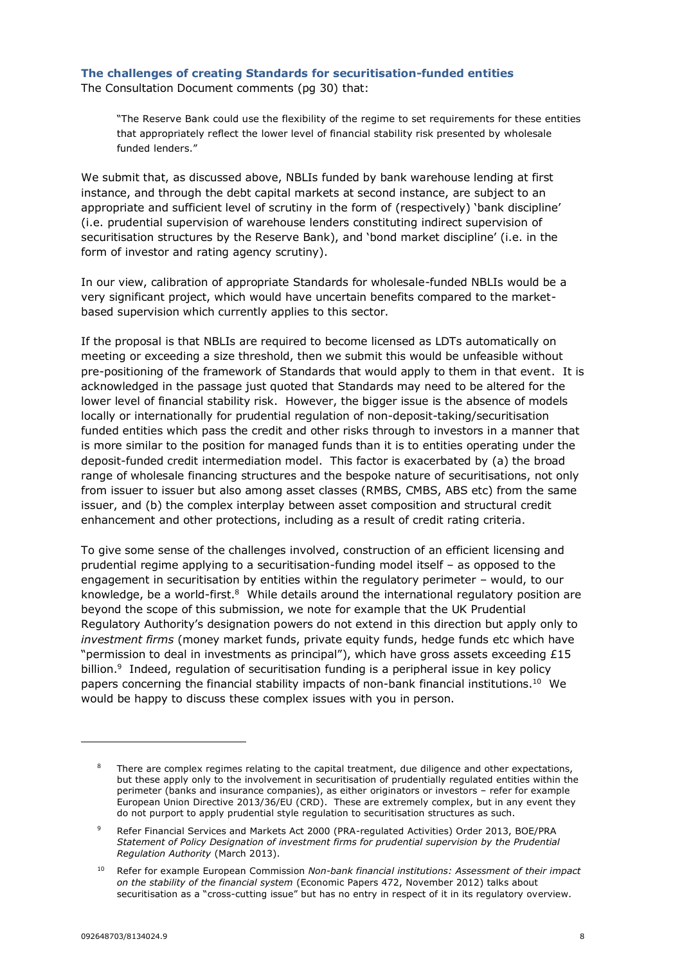#### **The challenges of creating Standards for securitisation-funded entities**

The Consultation Document comments (pg 30) that:

"The Reserve Bank could use the flexibility of the regime to set requirements for these entities that appropriately reflect the lower level of financial stability risk presented by wholesale funded lenders."

We submit that, as discussed above, NBLIs funded by bank warehouse lending at first instance, and through the debt capital markets at second instance, are subject to an appropriate and sufficient level of scrutiny in the form of (respectively) 'bank discipline' (i.e. prudential supervision of warehouse lenders constituting indirect supervision of securitisation structures by the Reserve Bank), and 'bond market discipline' (i.e. in the form of investor and rating agency scrutiny).

In our view, calibration of appropriate Standards for wholesale-funded NBLIs would be a very significant project, which would have uncertain benefits compared to the marketbased supervision which currently applies to this sector.

If the proposal is that NBLIs are required to become licensed as LDTs automatically on meeting or exceeding a size threshold, then we submit this would be unfeasible without pre-positioning of the framework of Standards that would apply to them in that event. It is acknowledged in the passage just quoted that Standards may need to be altered for the lower level of financial stability risk. However, the bigger issue is the absence of models locally or internationally for prudential regulation of non-deposit-taking/securitisation funded entities which pass the credit and other risks through to investors in a manner that is more similar to the position for managed funds than it is to entities operating under the deposit-funded credit intermediation model. This factor is exacerbated by (a) the broad range of wholesale financing structures and the bespoke nature of securitisations, not only from issuer to issuer but also among asset classes (RMBS, CMBS, ABS etc) from the same issuer, and (b) the complex interplay between asset composition and structural credit enhancement and other protections, including as a result of credit rating criteria.

To give some sense of the challenges involved, construction of an efficient licensing and prudential regime applying to a securitisation-funding model itself – as opposed to the engagement in securitisation by entities within the regulatory perimeter – would, to our knowledge, be a world-first. $8$  While details around the international regulatory position are beyond the scope of this submission, we note for example that the UK Prudential Regulatory Authority's designation powers do not extend in this direction but apply only to *investment firms* (money market funds, private equity funds, hedge funds etc which have "permission to deal in investments as principal"), which have gross assets exceeding  $£15$ billion.<sup>9</sup> Indeed, regulation of securitisation funding is a peripheral issue in key policy papers concerning the financial stability impacts of non-bank financial institutions.<sup>10</sup> We would be happy to discuss these complex issues with you in person.

<sup>&</sup>lt;sup>8</sup> There are complex regimes relating to the capital treatment, due diligence and other expectations, but these apply only to the involvement in securitisation of prudentially regulated entities within the perimeter (banks and insurance companies), as either originators or investors – refer for example European Union Directive 2013/36/EU (CRD). These are extremely complex, but in any event they do not purport to apply prudential style regulation to securitisation structures as such.

<sup>9</sup> Refer Financial Services and Markets Act 2000 (PRA-regulated Activities) Order 2013, BOE/PRA *Statement of Policy Designation of investment firms for prudential supervision by the Prudential Regulation Authority* (March 2013).

<sup>10</sup> Refer for example European Commission *Non-bank financial institutions: Assessment of their impact on the stability of the financial system* (Economic Papers 472, November 2012) talks about securitisation as a "cross-cutting issue" but has no entry in respect of it in its regulatory overview.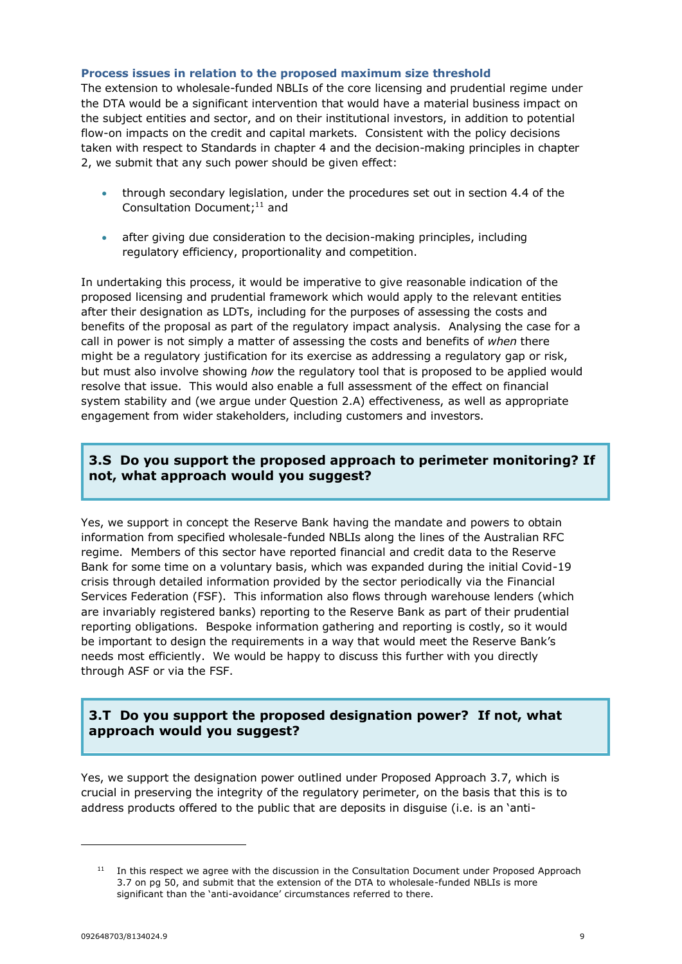#### **Process issues in relation to the proposed maximum size threshold**

The extension to wholesale-funded NBLIs of the core licensing and prudential regime under the DTA would be a significant intervention that would have a material business impact on the subject entities and sector, and on their institutional investors, in addition to potential flow-on impacts on the credit and capital markets. Consistent with the policy decisions taken with respect to Standards in chapter 4 and the decision-making principles in chapter 2, we submit that any such power should be given effect:

- through secondary legislation, under the procedures set out in section 4.4 of the Consultation Document;<sup>11</sup> and
- after giving due consideration to the decision-making principles, including regulatory efficiency, proportionality and competition.

In undertaking this process, it would be imperative to give reasonable indication of the proposed licensing and prudential framework which would apply to the relevant entities after their designation as LDTs, including for the purposes of assessing the costs and benefits of the proposal as part of the regulatory impact analysis. Analysing the case for a call in power is not simply a matter of assessing the costs and benefits of *when* there might be a regulatory justification for its exercise as addressing a regulatory gap or risk, but must also involve showing *how* the regulatory tool that is proposed to be applied would resolve that issue. This would also enable a full assessment of the effect on financial system stability and (we argue under Question 2.A) effectiveness, as well as appropriate engagement from wider stakeholders, including customers and investors.

# **3.S Do you support the proposed approach to perimeter monitoring? If not, what approach would you suggest?**

Yes, we support in concept the Reserve Bank having the mandate and powers to obtain information from specified wholesale-funded NBLIs along the lines of the Australian RFC regime. Members of this sector have reported financial and credit data to the Reserve Bank for some time on a voluntary basis, which was expanded during the initial Covid-19 crisis through detailed information provided by the sector periodically via the Financial Services Federation (FSF). This information also flows through warehouse lenders (which are invariably registered banks) reporting to the Reserve Bank as part of their prudential reporting obligations. Bespoke information gathering and reporting is costly, so it would be important to design the requirements in a way that would meet the Reserve Bank's needs most efficiently. We would be happy to discuss this further with you directly through ASF or via the FSF.

# **3.T Do you support the proposed designation power? If not, what approach would you suggest?**

Yes, we support the designation power outlined under Proposed Approach 3.7, which is crucial in preserving the integrity of the regulatory perimeter, on the basis that this is to address products offered to the public that are deposits in disguise (i.e. is an 'anti-

 $11$  In this respect we agree with the discussion in the Consultation Document under Proposed Approach 3.7 on pg 50, and submit that the extension of the DTA to wholesale-funded NBLIs is more significant than the 'anti-avoidance' circumstances referred to there.